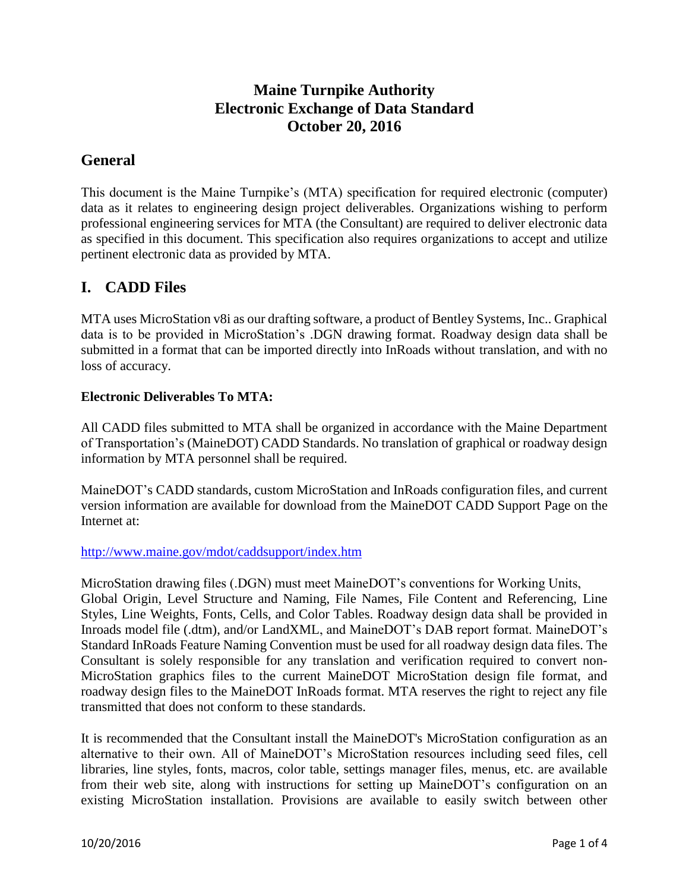## **Maine Turnpike Authority Electronic Exchange of Data Standard October 20, 2016**

## **General**

This document is the Maine Turnpike's (MTA) specification for required electronic (computer) data as it relates to engineering design project deliverables. Organizations wishing to perform professional engineering services for MTA (the Consultant) are required to deliver electronic data as specified in this document. This specification also requires organizations to accept and utilize pertinent electronic data as provided by MTA.

## **I. CADD Files**

MTA uses MicroStation v8i as our drafting software, a product of Bentley Systems, Inc.. Graphical data is to be provided in MicroStation's .DGN drawing format. Roadway design data shall be submitted in a format that can be imported directly into InRoads without translation, and with no loss of accuracy.

### **Electronic Deliverables To MTA:**

All CADD files submitted to MTA shall be organized in accordance with the Maine Department of Transportation's (MaineDOT) CADD Standards. No translation of graphical or roadway design information by MTA personnel shall be required.

MaineDOT's CADD standards, custom MicroStation and InRoads configuration files, and current version information are available for download from the MaineDOT CADD Support Page on the Internet at:

#### <http://www.maine.gov/mdot/caddsupport/index.htm>

MicroStation drawing files (.DGN) must meet MaineDOT's conventions for Working Units, Global Origin, Level Structure and Naming, File Names, File Content and Referencing, Line Styles, Line Weights, Fonts, Cells, and Color Tables. Roadway design data shall be provided in Inroads model file (.dtm), and/or LandXML, and MaineDOT's DAB report format. MaineDOT's Standard InRoads Feature Naming Convention must be used for all roadway design data files. The Consultant is solely responsible for any translation and verification required to convert non-MicroStation graphics files to the current MaineDOT MicroStation design file format, and roadway design files to the MaineDOT InRoads format. MTA reserves the right to reject any file transmitted that does not conform to these standards.

It is recommended that the Consultant install the MaineDOT's MicroStation configuration as an alternative to their own. All of MaineDOT's MicroStation resources including seed files, cell libraries, line styles, fonts, macros, color table, settings manager files, menus, etc. are available from their web site, along with instructions for setting up MaineDOT's configuration on an existing MicroStation installation. Provisions are available to easily switch between other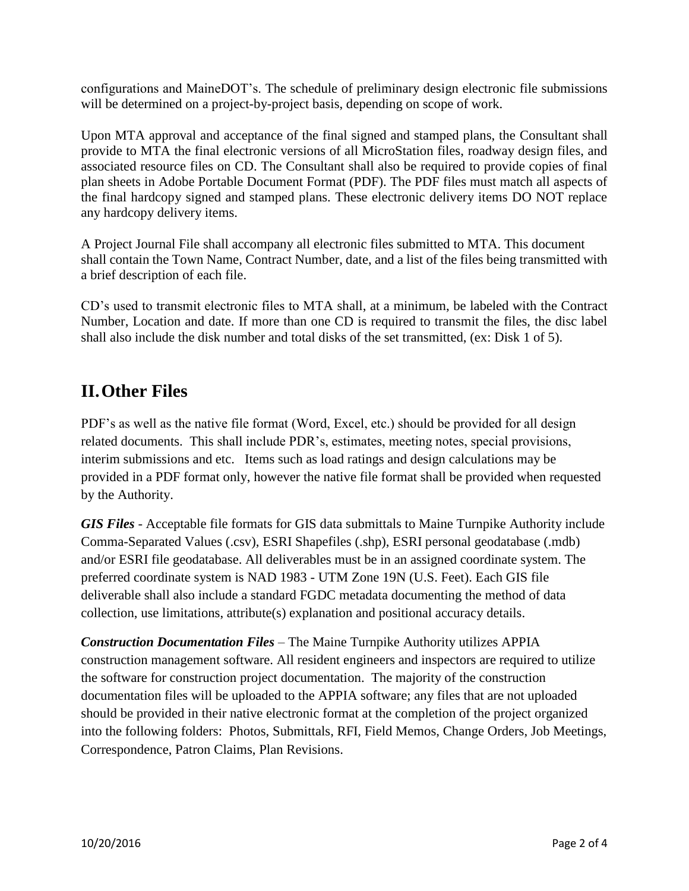configurations and MaineDOT's. The schedule of preliminary design electronic file submissions will be determined on a project-by-project basis, depending on scope of work.

Upon MTA approval and acceptance of the final signed and stamped plans, the Consultant shall provide to MTA the final electronic versions of all MicroStation files, roadway design files, and associated resource files on CD. The Consultant shall also be required to provide copies of final plan sheets in Adobe Portable Document Format (PDF). The PDF files must match all aspects of the final hardcopy signed and stamped plans. These electronic delivery items DO NOT replace any hardcopy delivery items.

A Project Journal File shall accompany all electronic files submitted to MTA. This document shall contain the Town Name, Contract Number, date, and a list of the files being transmitted with a brief description of each file.

CD's used to transmit electronic files to MTA shall, at a minimum, be labeled with the Contract Number, Location and date. If more than one CD is required to transmit the files, the disc label shall also include the disk number and total disks of the set transmitted, (ex: Disk 1 of 5).

# **II.Other Files**

PDF's as well as the native file format (Word, Excel, etc.) should be provided for all design related documents. This shall include PDR's, estimates, meeting notes, special provisions, interim submissions and etc. Items such as load ratings and design calculations may be provided in a PDF format only, however the native file format shall be provided when requested by the Authority.

*GIS Files* - Acceptable file formats for GIS data submittals to Maine Turnpike Authority include Comma-Separated Values (.csv), ESRI Shapefiles (.shp), ESRI personal geodatabase (.mdb) and/or ESRI file geodatabase. All deliverables must be in an assigned coordinate system. The preferred coordinate system is NAD 1983 - UTM Zone 19N (U.S. Feet). Each GIS file deliverable shall also include a standard FGDC metadata documenting the method of data collection, use limitations, attribute(s) explanation and positional accuracy details.

*Construction Documentation Files* – The Maine Turnpike Authority utilizes APPIA construction management software. All resident engineers and inspectors are required to utilize the software for construction project documentation. The majority of the construction documentation files will be uploaded to the APPIA software; any files that are not uploaded should be provided in their native electronic format at the completion of the project organized into the following folders: Photos, Submittals, RFI, Field Memos, Change Orders, Job Meetings, Correspondence, Patron Claims, Plan Revisions.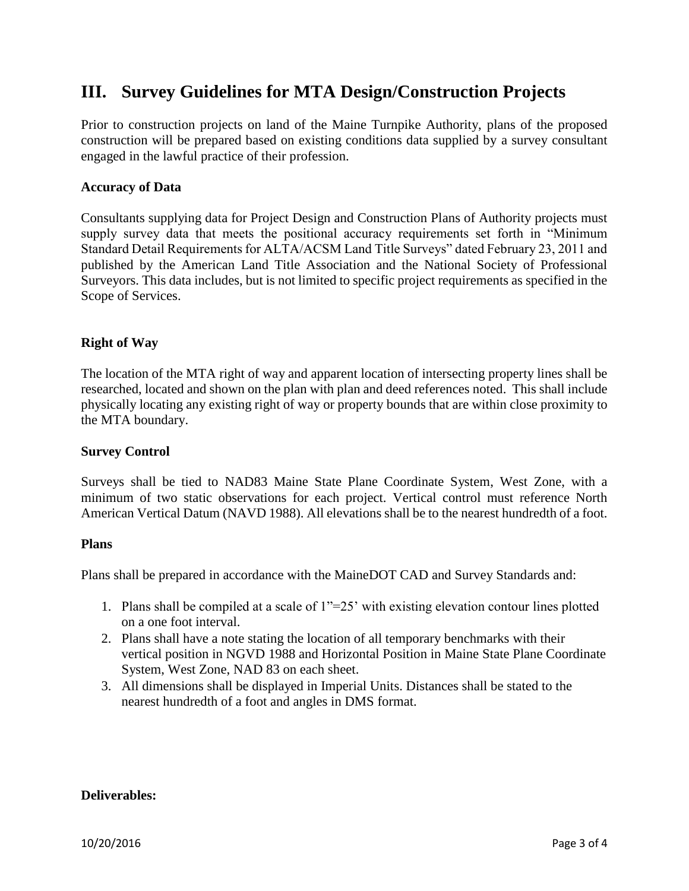# **III. Survey Guidelines for MTA Design/Construction Projects**

Prior to construction projects on land of the Maine Turnpike Authority, plans of the proposed construction will be prepared based on existing conditions data supplied by a survey consultant engaged in the lawful practice of their profession.

#### **Accuracy of Data**

Consultants supplying data for Project Design and Construction Plans of Authority projects must supply survey data that meets the positional accuracy requirements set forth in "Minimum Standard Detail Requirements for ALTA/ACSM Land Title Surveys" dated February 23, 2011 and published by the American Land Title Association and the National Society of Professional Surveyors. This data includes, but is not limited to specific project requirements as specified in the Scope of Services.

#### **Right of Way**

The location of the MTA right of way and apparent location of intersecting property lines shall be researched, located and shown on the plan with plan and deed references noted. This shall include physically locating any existing right of way or property bounds that are within close proximity to the MTA boundary.

#### **Survey Control**

Surveys shall be tied to NAD83 Maine State Plane Coordinate System, West Zone, with a minimum of two static observations for each project. Vertical control must reference North American Vertical Datum (NAVD 1988). All elevations shall be to the nearest hundredth of a foot.

#### **Plans**

Plans shall be prepared in accordance with the MaineDOT CAD and Survey Standards and:

- 1. Plans shall be compiled at a scale of 1"=25' with existing elevation contour lines plotted on a one foot interval.
- 2. Plans shall have a note stating the location of all temporary benchmarks with their vertical position in NGVD 1988 and Horizontal Position in Maine State Plane Coordinate System, West Zone, NAD 83 on each sheet.
- 3. All dimensions shall be displayed in Imperial Units. Distances shall be stated to the nearest hundredth of a foot and angles in DMS format.

#### **Deliverables:**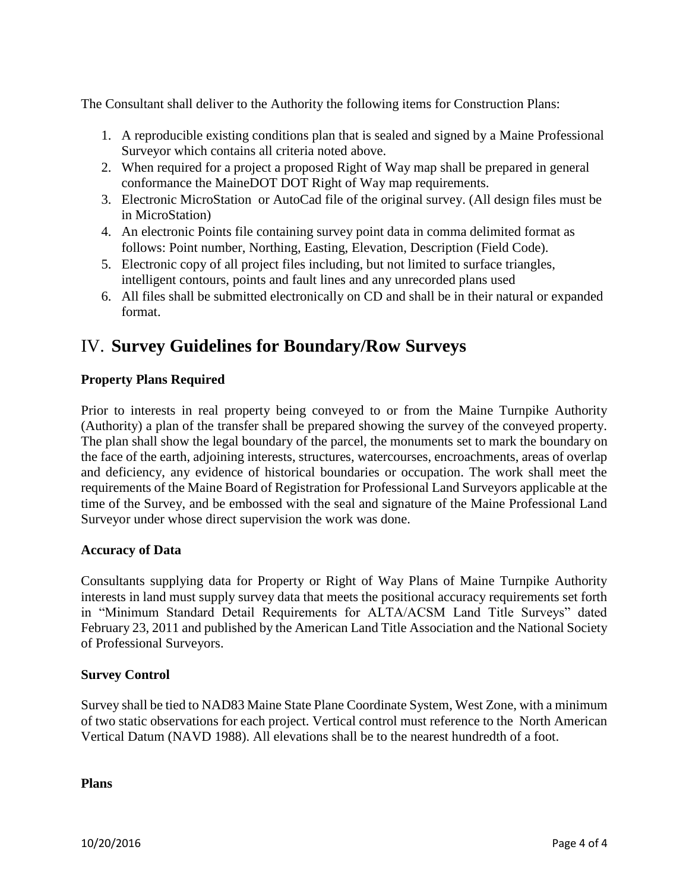The Consultant shall deliver to the Authority the following items for Construction Plans:

- 1. A reproducible existing conditions plan that is sealed and signed by a Maine Professional Surveyor which contains all criteria noted above.
- 2. When required for a project a proposed Right of Way map shall be prepared in general conformance the MaineDOT DOT Right of Way map requirements.
- 3. Electronic MicroStation or AutoCad file of the original survey. (All design files must be in MicroStation)
- 4. An electronic Points file containing survey point data in comma delimited format as follows: Point number, Northing, Easting, Elevation, Description (Field Code).
- 5. Electronic copy of all project files including, but not limited to surface triangles, intelligent contours, points and fault lines and any unrecorded plans used
- 6. All files shall be submitted electronically on CD and shall be in their natural or expanded format.

# IV. **Survey Guidelines for Boundary/Row Surveys**

### **Property Plans Required**

Prior to interests in real property being conveyed to or from the Maine Turnpike Authority (Authority) a plan of the transfer shall be prepared showing the survey of the conveyed property. The plan shall show the legal boundary of the parcel, the monuments set to mark the boundary on the face of the earth, adjoining interests, structures, watercourses, encroachments, areas of overlap and deficiency, any evidence of historical boundaries or occupation. The work shall meet the requirements of the Maine Board of Registration for Professional Land Surveyors applicable at the time of the Survey, and be embossed with the seal and signature of the Maine Professional Land Surveyor under whose direct supervision the work was done.

#### **Accuracy of Data**

Consultants supplying data for Property or Right of Way Plans of Maine Turnpike Authority interests in land must supply survey data that meets the positional accuracy requirements set forth in "Minimum Standard Detail Requirements for ALTA/ACSM Land Title Surveys" dated February 23, 2011 and published by the American Land Title Association and the National Society of Professional Surveyors.

#### **Survey Control**

Survey shall be tied to NAD83 Maine State Plane Coordinate System, West Zone, with a minimum of two static observations for each project. Vertical control must reference to the North American Vertical Datum (NAVD 1988). All elevations shall be to the nearest hundredth of a foot.

**Plans**